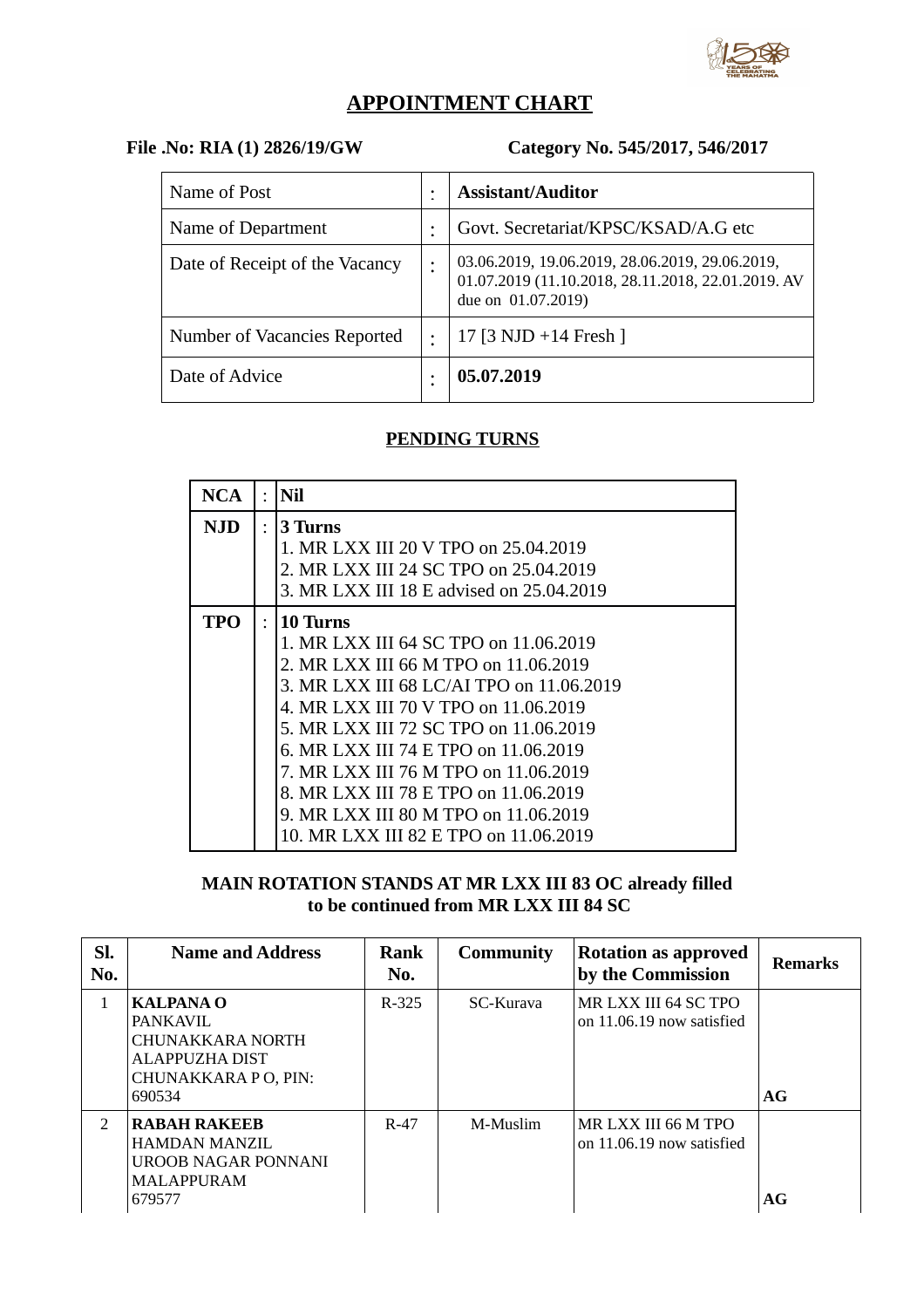

# **APPOINTMENT CHART**

# **File .No: RIA (1) 2826/19/GW Category No. 545/2017, 546/2017**

| Name of Post                   | ٠              | <b>Assistant/Auditor</b>                                                                                                    |
|--------------------------------|----------------|-----------------------------------------------------------------------------------------------------------------------------|
| Name of Department             |                | Govt. Secretariat/KPSC/KSAD/A.G etc                                                                                         |
| Date of Receipt of the Vacancy | ٠              | 03.06.2019, 19.06.2019, 28.06.2019, 29.06.2019,<br>01.07.2019 (11.10.2018, 28.11.2018, 22.01.2019. AV<br>due on 01.07.2019) |
| Number of Vacancies Reported   | $\ddot{\cdot}$ | 17 [3 NJD +14 Fresh]                                                                                                        |
| Date of Advice                 |                | 05.07.2019                                                                                                                  |

## **PENDING TURNS**

| <b>NCA</b> |           | Nil                                      |
|------------|-----------|------------------------------------------|
| NJD.       | $\bullet$ | 3 Turns                                  |
|            |           | 1. MR LXX III 20 V TPO on 25.04.2019     |
|            |           | 2. MR LXX III 24 SC TPO on 25.04.2019    |
|            |           | 3. MR LXX III 18 E advised on 25.04.2019 |
| TPO        | $\bullet$ | 10 Turns                                 |
|            |           | 1. MR LXX III 64 SC TPO on 11.06.2019    |
|            |           | 2. MR LXX III 66 M TPO on 11.06.2019     |
|            |           | 3. MR LXX III 68 LC/AI TPO on 11.06.2019 |
|            |           | 4. MR LXX III 70 V TPO on 11.06.2019     |
|            |           | 5. MR LXX III 72 SC TPO on 11.06.2019    |
|            |           | 6. MR LXX III 74 E TPO on 11.06.2019     |
|            |           | 7. MR LXX III 76 M TPO on 11.06.2019     |
|            |           | 8. MR LXX III 78 E TPO on 11.06.2019     |
|            |           | 9. MR LXX III 80 M TPO on 11.06.2019     |
|            |           | 10. MR LXX III 82 E TPO on 11.06.2019    |

### **MAIN ROTATION STANDS AT MR LXX III 83 OC already filled to be continued from MR LXX III 84 SC**

| Sl.<br>No.    | <b>Name and Address</b>                                                                                     | Rank<br>No. | <b>Community</b> | <b>Rotation as approved</b><br>by the Commission  | <b>Remarks</b> |
|---------------|-------------------------------------------------------------------------------------------------------------|-------------|------------------|---------------------------------------------------|----------------|
| 1             | <b>KALPANA O</b><br><b>PANKAVIL</b><br>CHUNAKKARA NORTH<br>ALAPPUZHA DIST<br>CHUNAKKARA P O, PIN:<br>690534 | $R - 325$   | SC-Kurava        | MR LXX III 64 SC TPO<br>on 11.06.19 now satisfied | AG             |
| $\mathcal{D}$ | <b>RABAH RAKEEB</b><br>HAMDAN MANZIL<br>UROOB NAGAR PONNANI<br><b>MALAPPURAM</b><br>679577                  | $R-47$      | M-Muslim         | MR LXX III 66 M TPO<br>on 11.06.19 now satisfied  | AG             |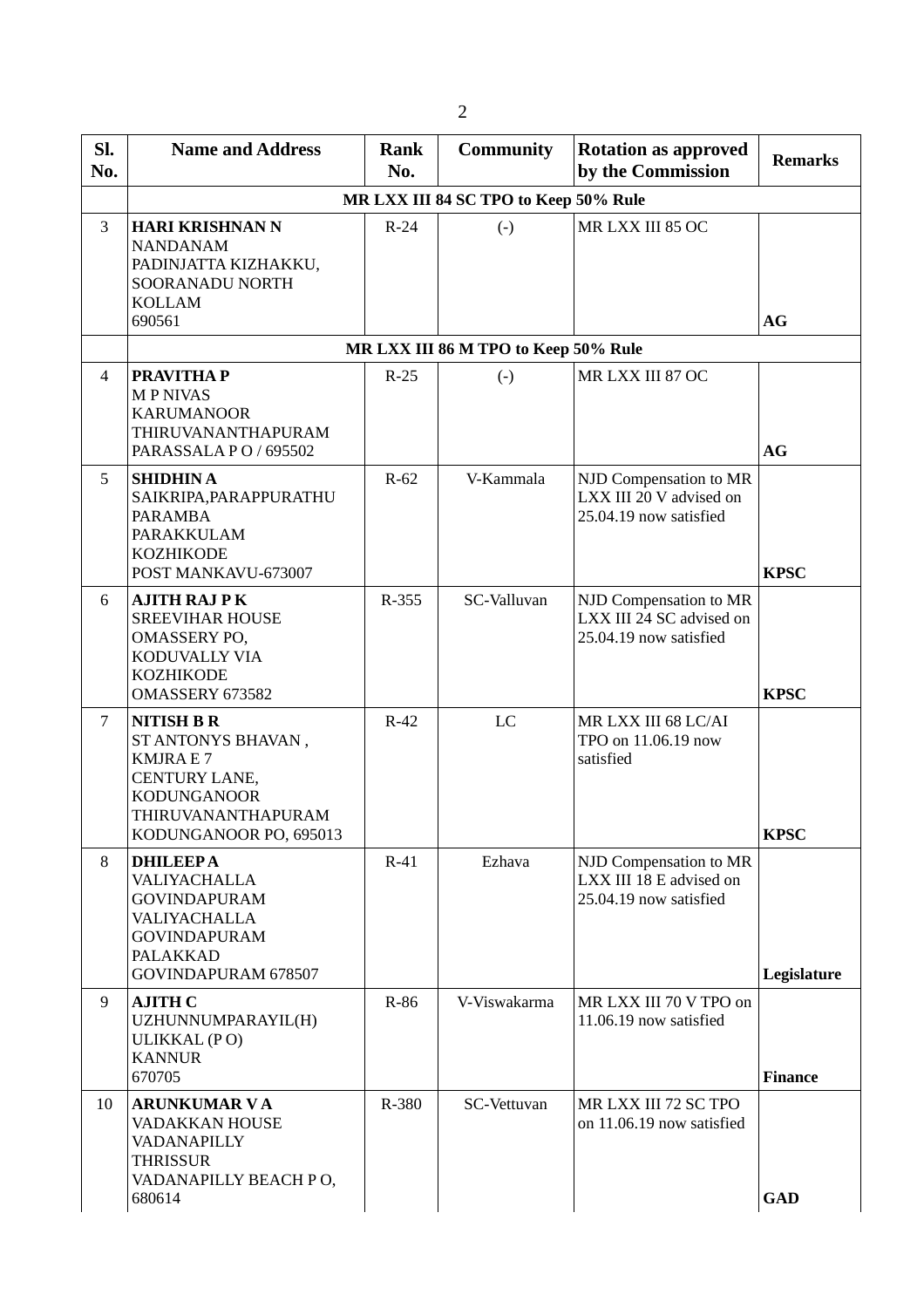| SI.<br>No.     | <b>Name and Address</b>                                                                                                                          | Rank<br>No. | <b>Community</b>                      | <b>Rotation as approved</b><br>by the Commission                             | <b>Remarks</b> |
|----------------|--------------------------------------------------------------------------------------------------------------------------------------------------|-------------|---------------------------------------|------------------------------------------------------------------------------|----------------|
|                |                                                                                                                                                  |             | MR LXX III 84 SC TPO to Keep 50% Rule |                                                                              |                |
| 3              | <b>HARI KRISHNAN N</b><br><b>NANDANAM</b><br>PADINJATTA KIZHAKKU,<br>SOORANADU NORTH<br><b>KOLLAM</b><br>690561                                  | $R-24$      | $(-)$                                 | MR LXX III 85 OC                                                             | <b>AG</b>      |
|                |                                                                                                                                                  |             | MR LXX III 86 M TPO to Keep 50% Rule  |                                                                              |                |
| $\overline{4}$ | <b>PRAVITHAP</b><br><b>MPNIVAS</b><br><b>KARUMANOOR</b><br>THIRUVANANTHAPURAM<br>PARASSALA PO / 695502                                           | $R-25$      | $(-)$                                 | MR LXX III 87 OC                                                             | <b>AG</b>      |
| 5              | <b>SHIDHIN A</b><br>SAIKRIPA, PARAPPURATHU<br><b>PARAMBA</b><br>PARAKKULAM<br><b>KOZHIKODE</b><br>POST MANKAVU-673007                            | $R-62$      | V-Kammala                             | NJD Compensation to MR<br>LXX III 20 V advised on<br>25.04.19 now satisfied  | <b>KPSC</b>    |
| 6              | <b>AJITH RAJ PK</b><br><b>SREEVIHAR HOUSE</b><br>OMASSERY PO,<br>KODUVALLY VIA<br><b>KOZHIKODE</b><br>OMASSERY 673582                            | R-355       | SC-Valluvan                           | NJD Compensation to MR<br>LXX III 24 SC advised on<br>25.04.19 now satisfied | <b>KPSC</b>    |
| $\overline{7}$ | <b>NITISH B R</b><br>ST ANTONYS BHAVAN,<br><b>KMJRAE7</b><br>CENTURY LANE,<br><b>KODUNGANOOR</b><br>THIRUVANANTHAPURAM<br>KODUNGANOOR PO, 695013 | $R-42$      | $_{\rm LC}$                           | MR LXX III 68 LC/AI<br>TPO on 11.06.19 now<br>satisfied                      | <b>KPSC</b>    |
| 8              | <b>DHILEEPA</b><br>VALIYACHALLA<br><b>GOVINDAPURAM</b><br>VALIYACHALLA<br><b>GOVINDAPURAM</b><br><b>PALAKKAD</b><br>GOVINDAPURAM 678507          | $R-41$      | Ezhava                                | NJD Compensation to MR<br>LXX III 18 E advised on<br>25.04.19 now satisfied  | Legislature    |
| 9              | <b>AJITH C</b><br>UZHUNNUMPARAYIL(H)<br>ULIKKAL (PO)<br><b>KANNUR</b><br>670705                                                                  | R-86        | V-Viswakarma                          | MR LXX III 70 V TPO on<br>11.06.19 now satisfied                             | <b>Finance</b> |
| 10             | <b>ARUNKUMAR VA</b><br>VADAKKAN HOUSE<br>VADANAPILLY<br><b>THRISSUR</b><br>VADANAPILLY BEACH PO,<br>680614                                       | R-380       | SC-Vettuvan                           | MR LXX III 72 SC TPO<br>on 11.06.19 now satisfied                            | <b>GAD</b>     |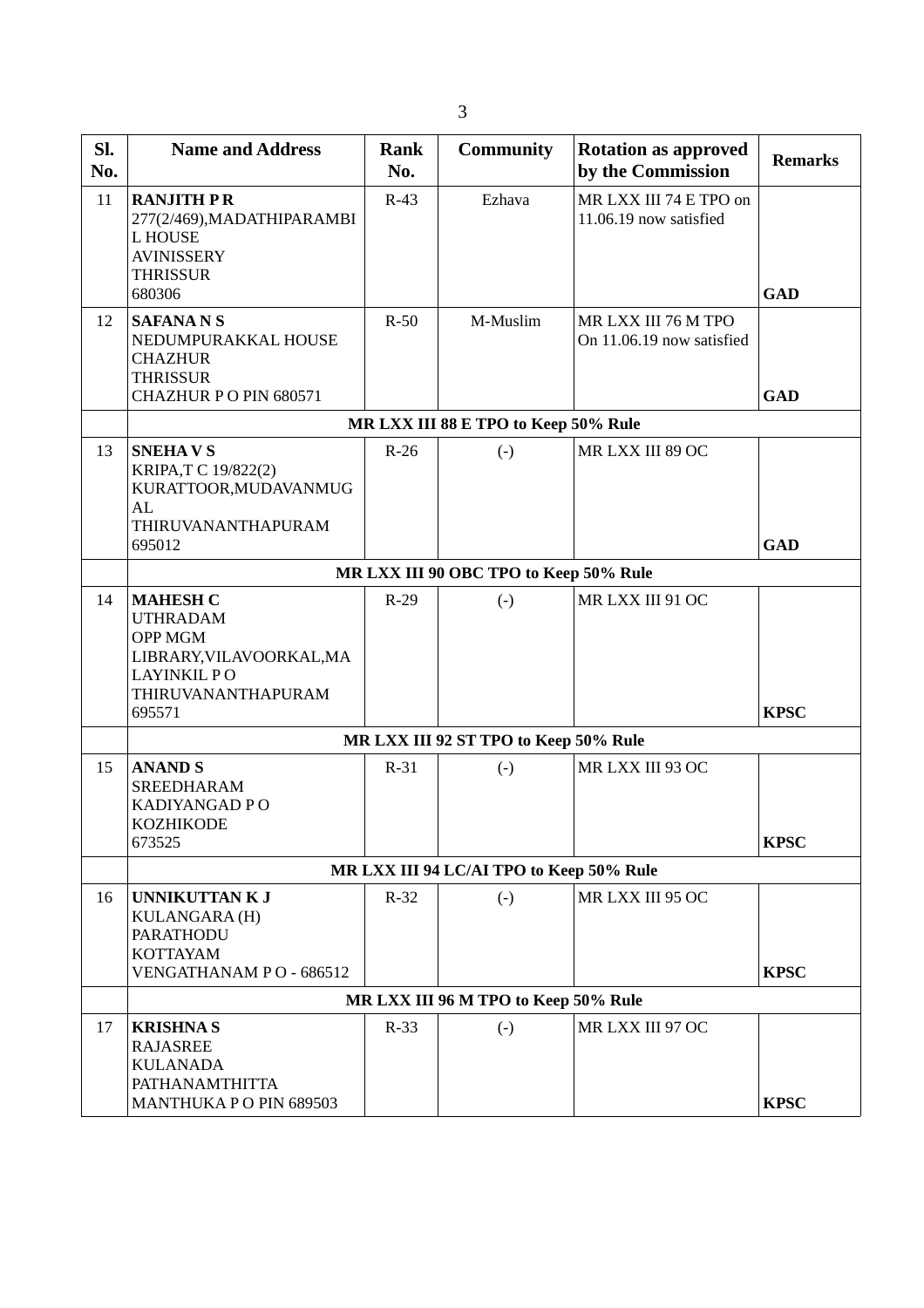| SI.<br>No. | <b>Name and Address</b>                                                                                                         | Rank<br>No. | <b>Community</b>                       | <b>Rotation as approved</b><br>by the Commission | <b>Remarks</b> |  |
|------------|---------------------------------------------------------------------------------------------------------------------------------|-------------|----------------------------------------|--------------------------------------------------|----------------|--|
| 11         | <b>RANJITH PR</b><br>277(2/469), MADATHIPARAMBI<br>L HOUSE<br><b>AVINISSERY</b><br><b>THRISSUR</b><br>680306                    | $R-43$      | Ezhava                                 | MR LXX III 74 E TPO on<br>11.06.19 now satisfied | <b>GAD</b>     |  |
| 12         | <b>SAFANANS</b><br>NEDUMPURAKKAL HOUSE<br><b>CHAZHUR</b><br><b>THRISSUR</b><br>CHAZHUR PO PIN 680571                            | $R-50$      | M-Muslim                               | MR LXX III 76 M TPO<br>On 11.06.19 now satisfied | <b>GAD</b>     |  |
|            |                                                                                                                                 |             | MR LXX III 88 E TPO to Keep 50% Rule   |                                                  |                |  |
| 13         | <b>SNEHAVS</b><br>KRIPA,T C 19/822(2)<br>KURATTOOR, MUDAVANMUG<br>AL<br>THIRUVANANTHAPURAM<br>695012                            | $R-26$      | $(-)$                                  | MR LXX III 89 OC                                 | <b>GAD</b>     |  |
|            |                                                                                                                                 |             | MR LXX III 90 OBC TPO to Keep 50% Rule |                                                  |                |  |
| 14         | <b>MAHESH C</b><br><b>UTHRADAM</b><br>OPP MGM<br>LIBRARY, VILAVOORKAL, MA<br><b>LAYINKIL PO</b><br>THIRUVANANTHAPURAM<br>695571 | $R-29$      | $(-)$                                  | MR LXX III 91 OC                                 | <b>KPSC</b>    |  |
|            | MR LXX III 92 ST TPO to Keep 50% Rule                                                                                           |             |                                        |                                                  |                |  |
| 15         | <b>ANAND S</b><br><b>SREEDHARAM</b><br>KADIYANGAD P O<br><b>KOZHIKODE</b><br>673525                                             | $R-31$      | $(-)$                                  | MR LXX III 93 OC                                 | <b>KPSC</b>    |  |
|            | MR LXX III 94 LC/AI TPO to Keep 50% Rule                                                                                        |             |                                        |                                                  |                |  |
| 16         | UNNIKUTTAN K J<br>KULANGARA (H)<br><b>PARATHODU</b><br><b>KOTTAYAM</b><br>VENGATHANAM PO - 686512                               | $R-32$      | $(-)$                                  | MR LXX III 95 OC                                 | <b>KPSC</b>    |  |
|            |                                                                                                                                 |             | MR LXX III 96 M TPO to Keep 50% Rule   |                                                  |                |  |
| 17         | <b>KRISHNAS</b><br><b>RAJASREE</b><br><b>KULANADA</b><br>PATHANAMTHITTA<br>MANTHUKA PO PIN 689503                               | $R-33$      | $(-)$                                  | MR LXX III 97 OC                                 | <b>KPSC</b>    |  |